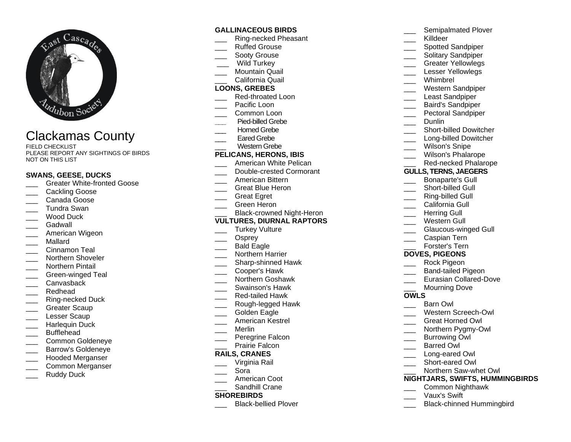

# Clackamas County

FIELD CHECKLIST PLEASE REPORT ANY SIGHTINGS OF BIRDS NOT ON THIS LIST

#### **SWANS, GEESE, DUCKS**

- \_\_\_ Greater White -fronted Goose
- Cackling Goose
- Canada Goose
- \_\_\_ Tundra Swan
- Wood Duck
- Gadwall
- American Wigeon
- \_\_\_ Mallard
- Cinnamon Teal
- Northern Shoveler
- \_\_\_ Northern Pintail
- \_\_\_ Green -winged Teal
- Canvasback
- \_\_\_ Redhead
- \_\_\_ Ring -necked Duck
- Greater Scaup
- Lesser Scaup
- Harlequin Duck
- \_\_\_ Bufflehead
- \_\_\_ Common Goldeneye
- \_\_\_ Barrow's Goldeneye
- \_\_\_ Hooded Merganser
- \_\_\_ Common Merganser
- Ruddy Duck

#### **GALLINACEOUS BIRDS**

- \_\_\_ Ring -necked Pheasant
- Ruffed Grouse
- Sooty Grouse
- Wild Turkey
- Mountain Quail \_\_\_ California Quail
- **LOONS, GREBES**
- \_\_\_ Red -throated Loon
- Pacific Loon
- Common Loon
- **\_\_\_** Pied -billed Grebe
- Horned Grebe
- Eared Grebe
- Western Grebe

### **PELICANS, HERONS, IBIS**

- American White Pelican \_\_\_ Double -crested Cormorant
- \_\_\_ American Bittern
- \_\_\_ Great Blue Heron
- Great Egret
- Green Heron
- \_\_\_ Black-crowned Night-Heron

### **VULTURES, DIURNAL RAPTORS**

- Turkey Vulture
- \_\_\_ Osprey
- Bald Eagle
- Northern Harrier
- \_\_\_ Sharp -shinned Hawk
- \_\_\_ Cooper's Hawk
- \_\_\_ Northern Goshawk
- \_\_\_ Swainson's Hawk
- \_\_\_ Red -tailed Hawk
- \_\_\_ Rough -legged Hawk
- Golden Eagle
- \_\_\_ American Kestrel
- \_\_\_ Merlin
- Peregrine Falcon
- Prairie Falcon

#### **RAILS, CRANES**

- \_\_\_ Virginia Rail
- \_\_\_ Sora
- American Coot
- Sandhill Crane

#### **SHOREBIRDS**

\_\_\_ Black -bellied Plover

\_\_\_ Killdeer Spotted Sandpiper Solitary Sandpiper \_\_\_ Greater Yellowlegs Lesser Yellowlegs \_\_\_ Whimbrel \_\_\_ Western Sandpiper Least Sandpiper \_\_\_ Baird's Sandpiper Pectoral Sandpiper

Semipalmated Plover

- \_\_\_ Dunlin
- \_\_\_ Short -billed Dowitcher
- \_\_\_ Long -billed Dowitcher
- Wilson's Snipe
- Wilson's Phalarope
- \_\_\_ Red -necked Phalarope

#### **GULLS, TERNS, JAEGERS**

- \_\_\_ Bonaparte's Gull
- \_\_\_ Short billed Gull
- \_\_\_ Ring -billed Gull
- California Gull
- Herring Gull
- Western Gull
- \_\_\_ Glaucous-winged Gull
- \_\_\_ Caspian Tern
- Forster's Tern

#### **DOVES, PIGEONS**

- Rock Pigeon
- \_\_\_ Band -tailed Pigeon
- \_\_\_ Eurasian Collared -Dove
- Mourning Dove

#### **OWLS**

- Barn Owl
- \_\_\_ Western Screech -Owl
- \_\_\_ Great Horned Owl
- \_\_\_ Northern Pygmy-Owl
- Burrowing Owl \_\_\_ Barred Owl

\_\_\_ Long -eared Owl \_\_\_ Short -eared Owl

\_\_\_ Vaux's Swift

\_\_\_ Northern Saw -whet Owl

\_\_\_ Common Nighthawk

\_\_\_ Black -chinned Hummingbird

**NIGHTJARS, SWIFTS, HUMMINGBIRDS**